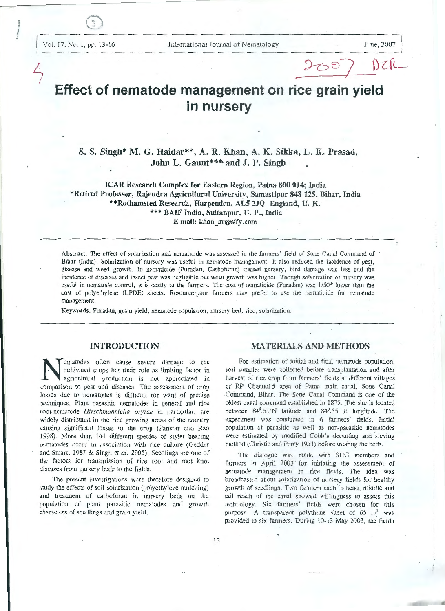# **Effect of nematode management on rice grain yield in nursery**

## S. S. Singh\* M. G. Haidar\*\*, A. R. Khan, A. K. Sikka, L. K. Prasad, John L. Gaunt\*\*\* and J. P. Singh

ICAR Research Complex for Eastern Region, Patna 800 014; India \*Retired Professor, Rajendra Agricultural University, Samastipur 848 125, Bihar, India \*\*Rothamsted Research, Harpenden, ALS 2.JQ England, U. K. \*\*\* BAIF India, Sultanpur, U. P., India E-mail: khan\_ ar@sify.com

Abstract. The effect of solarization and nematicide was assessed in the farmers' field of Sone Canal Command of Bihar (India). Solarization of nursery was useful in nematode management. It also reduced the incidence of pest, disease and weed growth. In nematicide (Furadan, Carbofuran) treated nursery, bird damage was less and the incidence of diseases and insect pest was negligible but weed growth was higher. Though solarization of nursery was useful in nematode control, it is costly to the farmers. The cost of nematicide (Furadan) was 1/50<sup>th</sup> lower than the cost of polyethylene (LPDE) sheets. Resource-poor farmers may prefer to use the nematicide for nematode management.

Keywords. Furadan, grain yield, nematode population, nursery bed, rice, solarization.

## INTRODUCTION

ematodes often cause severe damage to the cultivated crops but their role as limiting factor in agriculrural production is not appreciated in comparison to pest and diseases. The assessment of crop losses due to nematodes is difficult for want of precise techniques. Plant parasitic nematodes in general and rice root-nematode *Hirschmanniella oryzae* in particular, are widely distributed in the rice growing areas of the country causing significant losses to the crop (Panwar and Rao 1998). More than 144 different species of stylet bearing nematodes occur in association with rice culture (Gedder and Smart, 1987 & Singh *et al.* 2005). Seedlings are one of the factors for transmission of rice root and root knot diseases from nursery beds to the fields.

The present investigations were therefore designed to study the effects of soil solarization (polyethylene mulching) and treatment of carbofuran in nursery beds on the population of plant parasitic nematodes and growth characters of seedlings and grain yield.

## MATERIALS AND METHODS

<sup>~</sup>*'>-c> s]* \) c (L\_

For estimation of initial and final nematode population, soil samples were collected before transplantation and after harvest of rice crop from farmers' fields at different villages of RP Channel-5 area of Patna main canal, Sone Canal Command, Bihar. The Sone Canal Command is one of the oldest canal command established in 1875. The site is located between 84°.51 'N latifude and 84°.55 E longitude. The experiment was conducted in 6 farmers' fields. Initial population of parasitic as well as non-parasitic nematodes were estimated by modified Cobb's decanting and sieving method (Christie and Perry 1951) before treating the beds.

The dialogue was made with SHG members and farmers in April 2003 for initiating the assessment of nematode management in rice fields. The idea was broadcasted about solarization of nursery fields for healthy growth of seedlings. Two farmers each in head, middle and. tail reach of the canal showed willingness to assess this technology. Six farmers' fields were chosen for this purpose. A transparent polythene sheet of  $65 \text{ m}^2$  was provided to six farmers. During 10-13 May 2003, the fields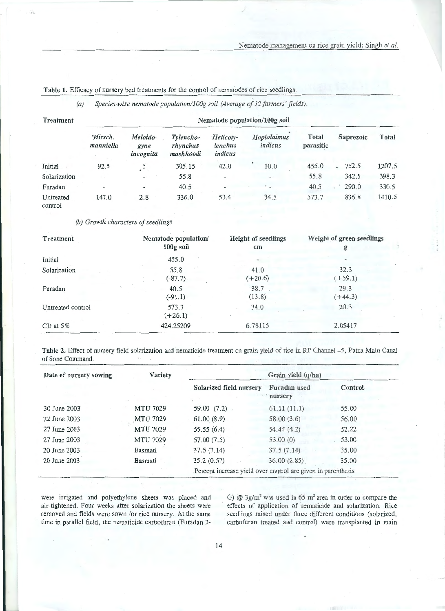| Treatment            | Nematode population/100g soil |                               |                                    |                                 |                          |                           |           |        |  |
|----------------------|-------------------------------|-------------------------------|------------------------------------|---------------------------------|--------------------------|---------------------------|-----------|--------|--|
|                      | Hirsch.<br>manniella          | Meloido-<br>gyne<br>incognita | Tylencho-<br>rhynchus<br>mashhoodi | Helicoty-<br>lenchus<br>indicus | Hoplolaimus<br>indicus   | <b>Total</b><br>parasitic | Saprozoic | Total  |  |
| Initial              | 92.5                          | 5                             | 305.15                             | 42.0                            | 10.0                     | 455.0                     | 752.5     | 1207.5 |  |
| Solarization         | $\overline{\phantom{a}}$      | ٠                             | 55.8                               | $\frac{1}{2}$                   | $\overline{\phantom{0}}$ | 55.8                      | 342.5     | 398.3  |  |
| Furadan              | $\overline{\phantom{a}}$      | $\rightarrow$                 | 40.5                               | $\overline{a}$                  | $\cdot$ .                | 40.5                      | 290.0     | 330.5  |  |
| Untreated<br>control | 147.0                         | 2.8                           | 336.0                              | 53.4                            | 34.5                     | 573.7                     | 836.8     | 1410.5 |  |

Table 1. Efficacy of nursery bed treatments for the control of nematodes of rice seedlings.

*(a) Species-wise nematode population/IOOg soil (Average of 12farmers' fields).* 

### *(b) Growth characters of seedlings*

| Treatment         | Nematode population/ | <b>Height of seedlings</b> | Weight of green seedlings |
|-------------------|----------------------|----------------------------|---------------------------|
|                   | $100g$ soil          | $\mathbf{cm}$              | g                         |
| Initial           | 455.0                |                            |                           |
| Solarization      | 55.8                 | 41.0                       | 32.3                      |
|                   | $(-87.7)$            | $(+20.6)$                  | $(+59.1)$                 |
| Furadan           | 40.5                 | 38.7                       | 29.3                      |
|                   | $(-91.1)$            | (13.8)                     | $(+44.3)$                 |
| Untreated control | 573.7<br>$(+26.1)$   | 34.0                       | 20.3                      |
| $CD$ at $5\%$     | 424.25209            | 6.78115                    | 2.05417                   |

Table 2. Effect of nursery field solarization and nematicide treatment on grain yield of rice in RP Channel -5, Patna Main Canal of Sone Command.

| Date of nursery sowing | Variety         | Grain yield (q/ha)      |                                                              |         |  |  |
|------------------------|-----------------|-------------------------|--------------------------------------------------------------|---------|--|--|
|                        |                 | Solarized field nursery | Furadan used<br>nursery                                      | Control |  |  |
| $30$ June $2003$       | <b>MTU 7029</b> | 59.00 (7.2)             | 61.11(11.1)                                                  | 55.00   |  |  |
| 22 June 2003           | <b>MTU 7029</b> | 61.00(8.9)              | 58.00(3.6)                                                   | 56.00   |  |  |
| 27 June 2003           | MTU 7029        | 55.55(6.4)              | 54.44(4.2)                                                   | 52.22   |  |  |
| 27 June 2003           | <b>MTU 7029</b> | 57.00(7.5)              | 53.00 (0)                                                    | 53.00   |  |  |
| 20 June 2003           | Basmati         | 37.5(7.14)              | 37.5(7.14)                                                   | 35.00   |  |  |
| 20 June 2003           | Basmati         | 35.2(0.57)              | 36.00(2.85)                                                  | 35.00   |  |  |
|                        |                 |                         | Percent increase yield over coutrol are given in parenthesis |         |  |  |

were irrigated and polyethylene sheets was placed and air-tightened. Four weeks after solarization the sheets were removed and fields were sown for rice nursery. At the same time in parallel field, the nematicide carbofuran (Furadan 3G)  $@$  3g/m<sup>2</sup> was used in 65 m<sup>2</sup> area in order to compare the effects of application of nematicide and solarization. Rice seedlings raised under three different conditions (solarized, carbofuran treated and control) were transplanted in main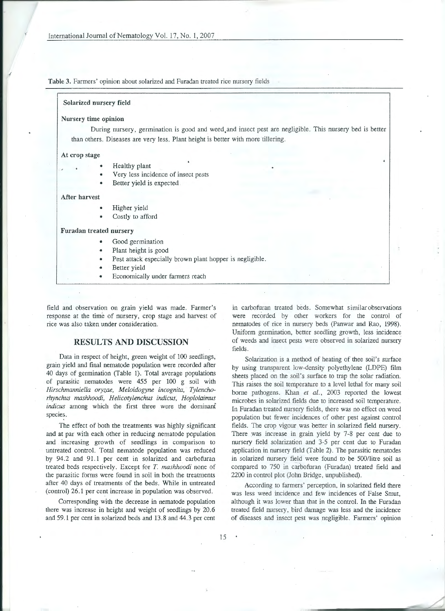Table 3. Farmers' opinion about solarized and Furadan treated rice nursery fields

#### Solarized nursery field

#### Nursery time opinion

During nursery, germination is good and weed. and insect pest are negligible. This nursery bed is better than others. Diseases are very less. Plant height is better with more tillering.

#### At crop stage

- Healthy plant
- Very less incidence of insect pests
- Better yield is expected

#### After harvest

- Higher yield
- Costly to afford

#### Furadan treated nursery

- Good germination
- Plant height is good
- Pest attack especially brown plant hopper is negligible.
- Better yield
- Economically under farmers reach

field and observation on grain yield was made. Farmer's response at the time of nursery, crop stage and harvest of rice was also taken under consideration.

## RESULTS AND DISCUSSION

Data in respect of height, green weight of 100 seedlings, grain yield and final nematode population were recorded after 40 days of germination (Table 1). Total average populations of parasitic nematodes were 455 per 100 g soil with *Hirschmanniella oryzae, Meloidogyne incognita, Tylenchorhynchus mashhoodi, Helicotylenchus indicus, Hoplolaimus indicus* among which the first three were the dominant species.

The effect of both the treatments was highly significant and at par with each other in reducing nematode population and increasing growth of seedlings in comparison to untreated control. Total nematode population was reduced by 94.2 and 91.1 per cent in solarized and carbofuran treated beds respectively. Except for T. *mashhoodi* none of the parasitic forms were found in soil in both the treatments after 40 days of treatments of the beds. While in untreated (control) 26.1 per cent increase in population was observed.

Corresponding with the decrease in nematode population there was increase in height and weight of seedlings by 20.6 and 59.1 per cent in solarized beds and 13.8 and 44.3 per cent

in carbofuran treated beds. Somewhat similar observations were recorded by other workers for the control of nematodes of rice in nursery beds (Panwar and Rao, 1998). Uniform germination, better seedling growth, less incidence of weeds and insect pests were observed in solarized nursery fields.

Solarization is a method of heating of thee soil's surface by using transparent low-density polyethylene (LDPE) film sheets placed on the soil's surface to trap the solar radiation. This raises the soil temperature to a level lethal for many soil borne pathogens. Khan *et al.,* 2003 reported the lowest microbes in solarized fields due to increased soil temperature. In Furadan treated nursery fields, there was no effect on weed population but fewer incidences of other pest against control fields. The crop vigour was better in solarized field nursery. There was increase in grain yield by 7-8 per cent due to nursery field solarization and 3-5 per cent due to Furadan application in nursery field (Table 2). The parasitic nematodes in solarized nursery field were found to be 500/litre soil as compared to 750 in carbofuran (Furadan) treated field and 2200 in control plot (John Bridge, unpublished).

According to farmers' perception, in solarized field there was less weed incidence and few incidences of False Smut, although it was lower than that in the control. In the Furadan treated field nursery, bird damage was less and the incidence of diseases and insect pest was negligible. Farmers' opinion